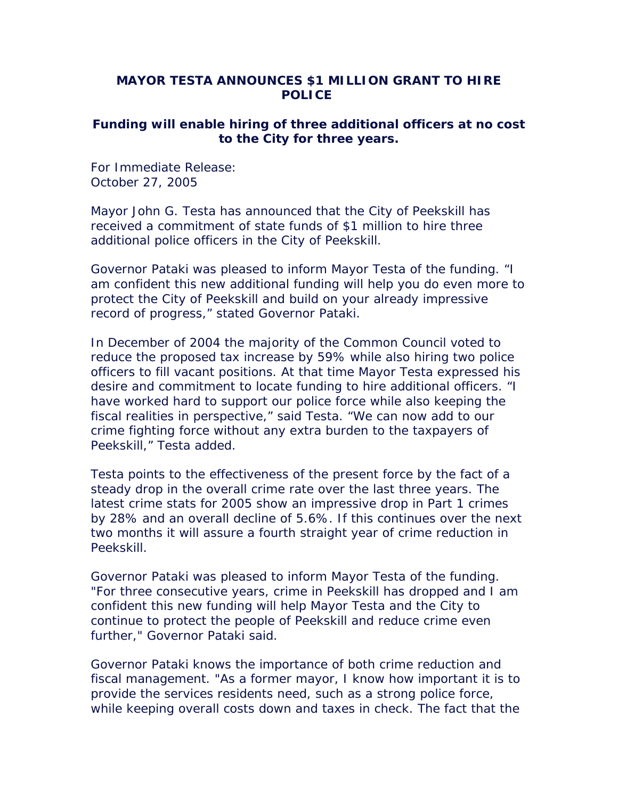## **MAYOR TESTA ANNOUNCES \$1 MILLION GRANT TO HIRE POLICE**

## **Funding will enable hiring of three additional officers at no cost to the City for three years.**

For Immediate Release: October 27, 2005

Mayor John G. Testa has announced that the City of Peekskill has received a commitment of state funds of \$1 million to hire three additional police officers in the City of Peekskill.

Governor Pataki was pleased to inform Mayor Testa of the funding. "I am confident this new additional funding will help you do even more to protect the City of Peekskill and build on your already impressive record of progress," stated Governor Pataki.

In December of 2004 the majority of the Common Council voted to reduce the proposed tax increase by 59% while also hiring two police officers to fill vacant positions. At that time Mayor Testa expressed his desire and commitment to locate funding to hire additional officers. "I have worked hard to support our police force while also keeping the fiscal realities in perspective," said Testa. "We can now add to our crime fighting force without any extra burden to the taxpayers of Peekskill," Testa added.

Testa points to the effectiveness of the present force by the fact of a steady drop in the overall crime rate over the last three years. The latest crime stats for 2005 show an impressive drop in Part 1 crimes by 28% and an overall decline of 5.6%. If this continues over the next two months it will assure a fourth straight year of crime reduction in Peekskill.

Governor Pataki was pleased to inform Mayor Testa of the funding. "For three consecutive years, crime in Peekskill has dropped and I am confident this new funding will help Mayor Testa and the City to continue to protect the people of Peekskill and reduce crime even further," Governor Pataki said.

Governor Pataki knows the importance of both crime reduction and fiscal management. "As a former mayor, I know how important it is to provide the services residents need, such as a strong police force, while keeping overall costs down and taxes in check. The fact that the